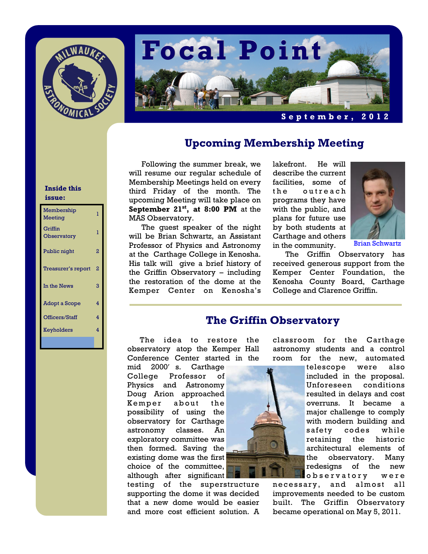



# **Upcoming Membership Meeting**

Following the summer break, we will resume our regular schedule of Membership Meetings held on every third Friday of the month. The upcoming Meeting will take place on **September 21st, at 8:00 PM** at the MAS Observatory.

 The guest speaker of the night will be Brian Schwartz, an Assistant Professor of Physics and Astronomy at the Carthage College in Kenosha. His talk will give a brief history of the Griffin Observatory – including the restoration of the dome at the Kemper Center on Kenosha's

lakefront. He will describe the current facilities, some of the outreach programs they have with the public, and plans for future use by both students at Carthage and others in the community.



Brian Schwartz

The Griffin Observatory has received generous support from the Kemper Center Foundation, the Kenosha County Board, Carthage College and Clarence Griffin.

## **The Griffin Observatory**

The idea to restore the observatory atop the Kemper Hall Conference Center started in the

mid 2000′ s. Carthage College Professor of Physics and Astronomy Doug Arion approached Kemper about the possibility of using the observatory for Carthage astronomy classes. An exploratory committee was then formed. Saving the existing dome was the first choice of the committee, although after significant

testing of the superstructure supporting the dome it was decided that a new dome would be easier and more cost efficient solution. A



classroom for the Carthage astronomy students and a control room for the new, automated

> telescope were also included in the proposal. Unforeseen conditions resulted in delays and cost overruns. It became a major challenge to comply with modern building and safety codes while retaining the historic architectural elements of the observatory. Many redesigns of the new o b s e r v a t o r y w e r e

necessary, and almost all improvements needed to be custom built. The Griffin Observatory became operational on May 5, 2011.

#### **Inside this issue:**

| Membership<br>Meeting  | 1 |
|------------------------|---|
| Griffin<br>Observatory | 1 |
| Public night           | 2 |
| Treasurer's report     | 2 |
| In the News            | 3 |
| Adopt a Scope          | 4 |
| Officers/Staff         | 4 |
| Keyholders             | 4 |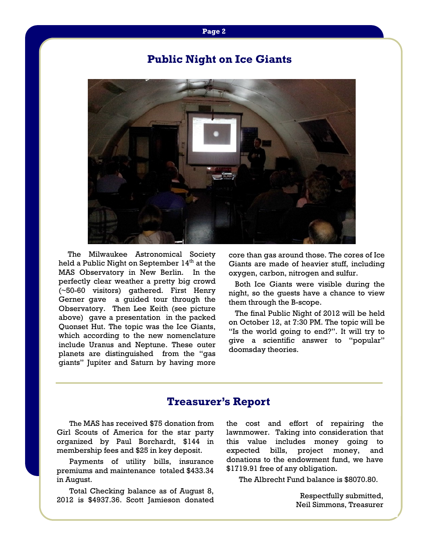#### **Page 2**

# **Public Night on Ice Giants**



The Milwaukee Astronomical Society held a Public Night on September  $14<sup>th</sup>$  at the MAS Observatory in New Berlin. In the perfectly clear weather a pretty big crowd (~50-60 visitors) gathered. First Henry Gerner gave a guided tour through the Observatory. Then Lee Keith (see picture above) gave a presentation in the packed Quonset Hut. The topic was the Ice Giants, which according to the new nomenclature include Uranus and Neptune. These outer planets are distinguished from the "gas giants" Jupiter and Saturn by having more

core than gas around those. The cores of Ice Giants are made of heavier stuff, including oxygen, carbon, nitrogen and sulfur.

 Both Ice Giants were visible during the night, so the guests have a chance to view them through the B-scope.

 The final Public Night of 2012 will be held on October 12, at 7:30 PM. The topic will be "Is the world going to end?". It will try to give a scientific answer to "popular" doomsday theories.

## **Treasurer's Report**

The MAS has received \$75 donation from Girl Scouts of America for the star party organized by Paul Borchardt, \$144 in membership fees and \$25 in key deposit.

 Payments of utility bills, insurance premiums and maintenance totaled \$433.34 in August.

 Total Checking balance as of August 8, 2012 is \$4937.36. Scott Jamieson donated the cost and effort of repairing the lawnmower. Taking into consideration that this value includes money going to expected bills, project money, and donations to the endowment fund, we have \$1719.91 free of any obligation.

The Albrecht Fund balance is \$8070.80.

Respectfully submitted, Neil Simmons, Treasurer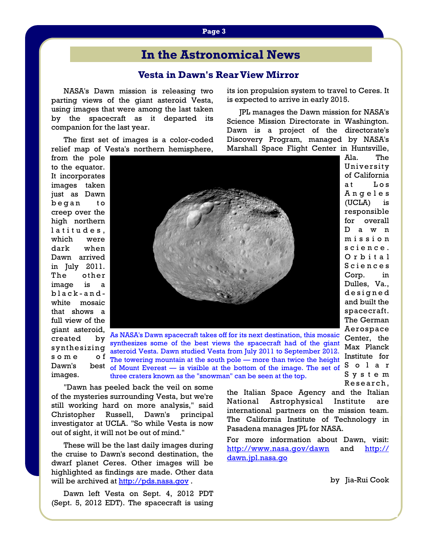# **In the Astronomical News**

### **Vesta in Dawn's Rear View Mirror**

NASA's Dawn mission is releasing two parting views of the giant asteroid Vesta, using images that were among the last taken by the spacecraft as it departed its companion for the last year.

 The first set of images is a color-coded relief map of Vesta's northern hemisphere,

from the pole to the equator. It incorporates images taken just as Dawn began to creep over the high northern latitudes, which were dark when Dawn arrived in July 2011. The other image is a black-andwhite mosaic that shows a full view of the giant asteroid, created by synthesizing  $s$  o  $m e$ Dawn's images.



of Mount Everest — is visible at the bottom of the image. The set of  $S_0$  o  $l_a$  a r As NASA's Dawn spacecraft takes off for its next destination, this mosaic synthesizes some of the best views the spacecraft had of the giant asteroid Vesta. Dawn studied Vesta from July 2011 to September 2012. o f The towering mountain at the south pole — more than twice the height three craters known as the "snowman" can be seen at the top.

 "Dawn has peeled back the veil on some of the mysteries surrounding Vesta, but we're still working hard on more analysis," said Christopher Russell, Dawn's principal investigator at UCLA. "So while Vesta is now out of sight, it will not be out of mind."

 These will be the last daily images during the cruise to Dawn's second destination, the dwarf planet Ceres. Other images will be highlighted as findings are made. Other data will be archived at [http://pds.nasa.gov](http://pds.nasa.gov/).

 Dawn left Vesta on Sept. 4, 2012 PDT (Sept. 5, 2012 EDT). The spacecraft is using the Italian Space Agency and the Italian National Astrophysical Institute are international partners on the mission team. The California Institute of Technology in Pasadena manages JPL for NASA.

its ion propulsion system to travel to Ceres. It

 JPL manages the Dawn mission for NASA's Science Mission Directorate in Washington. Dawn is a project of the directorate's Discovery Program, managed by NASA's Marshall Space Flight Center in Huntsville,

is expected to arrive in early 2015.

For more information about Dawn, visit: <http://www.nasa.gov/dawn> and [http://](http://dawn.jpl.nasa.gov/) [dawn.jpl.nasa.go](http://dawn.jpl.nasa.gov/)

by Jia-Rui Cook

of California at Los A n g e l e s (UCLA) is responsible for overall D a w n m i s s i o n s c i e n c e . O r b i t a l S c i e n c e s Corp. in Dulles, Va., d e s i g n e d and built the spacecraft. The German Aerospace Center, the Max Planck Institute for S y s t e m Research,

Ala. The University